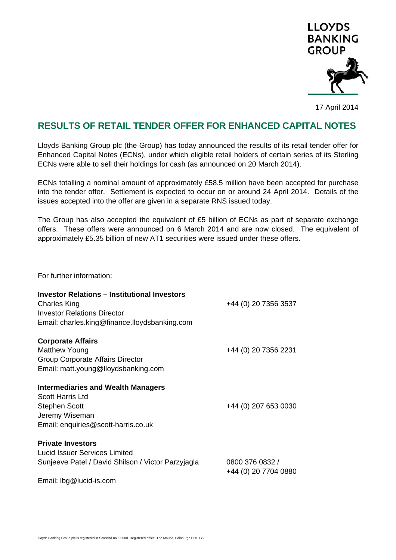

17 April 2014

## **RESULTS OF RETAIL TENDER OFFER FOR ENHANCED CAPITAL NOTES**

Lloyds Banking Group plc (the Group) has today announced the results of its retail tender offer for Enhanced Capital Notes (ECNs), under which eligible retail holders of certain series of its Sterling ECNs were able to sell their holdings for cash (as announced on 20 March 2014).

ECNs totalling a nominal amount of approximately £58.5 million have been accepted for purchase into the tender offer. Settlement is expected to occur on or around 24 April 2014. Details of the issues accepted into the offer are given in a separate RNS issued today.

The Group has also accepted the equivalent of £5 billion of ECNs as part of separate exchange offers. These offers were announced on 6 March 2014 and are now closed. The equivalent of approximately £5.35 billion of new AT1 securities were issued under these offers.

For further information:

| <b>Investor Relations - Institutional Investors</b><br>Charles King<br><b>Investor Relations Director</b><br>Email: charles.king@finance.lloydsbanking.com | +44 (0) 20 7356 3537                    |
|------------------------------------------------------------------------------------------------------------------------------------------------------------|-----------------------------------------|
| <b>Corporate Affairs</b><br><b>Matthew Young</b><br>Group Corporate Affairs Director<br>Email: matt.young@lloydsbanking.com                                | +44 (0) 20 7356 2231                    |
| <b>Intermediaries and Wealth Managers</b><br><b>Scott Harris Ltd</b><br><b>Stephen Scott</b><br>Jeremy Wiseman<br>Email: enquiries@scott-harris.co.uk      | +44 (0) 207 653 0030                    |
| <b>Private Investors</b><br><b>Lucid Issuer Services Limited</b><br>Sunjeeve Patel / David Shilson / Victor Parzyjagla<br>Email: lbg@lucid-is.com          | 0800 376 0832 /<br>+44 (0) 20 7704 0880 |